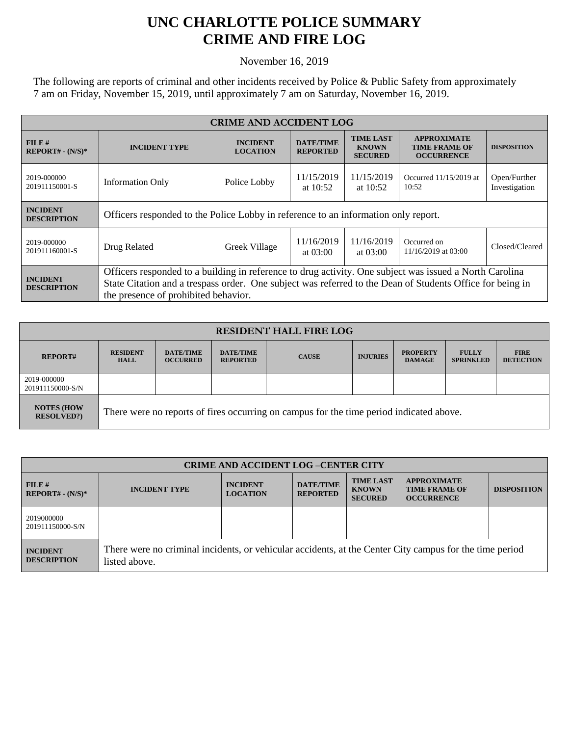## **UNC CHARLOTTE POLICE SUMMARY CRIME AND FIRE LOG**

November 16, 2019

The following are reports of criminal and other incidents received by Police & Public Safety from approximately 7 am on Friday, November 15, 2019, until approximately 7 am on Saturday, November 16, 2019.

| <b>CRIME AND ACCIDENT LOG</b>         |                                                                                                                                                                                                                                                              |                                    |                                     |                                                    |                                                                 |                               |
|---------------------------------------|--------------------------------------------------------------------------------------------------------------------------------------------------------------------------------------------------------------------------------------------------------------|------------------------------------|-------------------------------------|----------------------------------------------------|-----------------------------------------------------------------|-------------------------------|
| FILE#<br>$REPORT# - (N/S)*$           | <b>INCIDENT TYPE</b>                                                                                                                                                                                                                                         | <b>INCIDENT</b><br><b>LOCATION</b> | <b>DATE/TIME</b><br><b>REPORTED</b> | <b>TIME LAST</b><br><b>KNOWN</b><br><b>SECURED</b> | <b>APPROXIMATE</b><br><b>TIME FRAME OF</b><br><b>OCCURRENCE</b> | <b>DISPOSITION</b>            |
| 2019-000000<br>201911150001-S         | <b>Information Only</b>                                                                                                                                                                                                                                      | Police Lobby                       | 11/15/2019<br>at $10:52$            | 11/15/2019<br>at $10:52$                           | Occurred 11/15/2019 at<br>10:52                                 | Open/Further<br>Investigation |
| <b>INCIDENT</b><br><b>DESCRIPTION</b> | Officers responded to the Police Lobby in reference to an information only report.                                                                                                                                                                           |                                    |                                     |                                                    |                                                                 |                               |
| 2019-000000<br>201911160001-S         | Drug Related                                                                                                                                                                                                                                                 | Greek Village                      | 11/16/2019<br>at $03:00$            | 11/16/2019<br>at $03:00$                           | Occurred on<br>11/16/2019 at 03:00                              | Closed/Cleared                |
| <b>INCIDENT</b><br><b>DESCRIPTION</b> | Officers responded to a building in reference to drug activity. One subject was issued a North Carolina<br>State Citation and a trespass order. One subject was referred to the Dean of Students Office for being in<br>the presence of prohibited behavior. |                                    |                                     |                                                    |                                                                 |                               |

| <b>RESIDENT HALL FIRE LOG</b>         |                                                                                         |                                     |                                     |              |                 |                                  |                                  |                                 |
|---------------------------------------|-----------------------------------------------------------------------------------------|-------------------------------------|-------------------------------------|--------------|-----------------|----------------------------------|----------------------------------|---------------------------------|
| <b>REPORT#</b>                        | <b>RESIDENT</b><br><b>HALL</b>                                                          | <b>DATE/TIME</b><br><b>OCCURRED</b> | <b>DATE/TIME</b><br><b>REPORTED</b> | <b>CAUSE</b> | <b>INJURIES</b> | <b>PROPERTY</b><br><b>DAMAGE</b> | <b>FULLY</b><br><b>SPRINKLED</b> | <b>FIRE</b><br><b>DETECTION</b> |
| 2019-000000<br>201911150000-S/N       |                                                                                         |                                     |                                     |              |                 |                                  |                                  |                                 |
| <b>NOTES (HOW</b><br><b>RESOLVED?</b> | There were no reports of fires occurring on campus for the time period indicated above. |                                     |                                     |              |                 |                                  |                                  |                                 |

| <b>CRIME AND ACCIDENT LOG-CENTER CITY</b> |                                                                                                                          |                                    |                                     |                                                    |                                                                 |                    |
|-------------------------------------------|--------------------------------------------------------------------------------------------------------------------------|------------------------------------|-------------------------------------|----------------------------------------------------|-----------------------------------------------------------------|--------------------|
| $FILE$ #<br>$REPORT# - (N/S)*$            | <b>INCIDENT TYPE</b>                                                                                                     | <b>INCIDENT</b><br><b>LOCATION</b> | <b>DATE/TIME</b><br><b>REPORTED</b> | <b>TIME LAST</b><br><b>KNOWN</b><br><b>SECURED</b> | <b>APPROXIMATE</b><br><b>TIME FRAME OF</b><br><b>OCCURRENCE</b> | <b>DISPOSITION</b> |
| 2019000000<br>201911150000-S/N            |                                                                                                                          |                                    |                                     |                                                    |                                                                 |                    |
| <b>INCIDENT</b><br><b>DESCRIPTION</b>     | There were no criminal incidents, or vehicular accidents, at the Center City campus for the time period<br>listed above. |                                    |                                     |                                                    |                                                                 |                    |